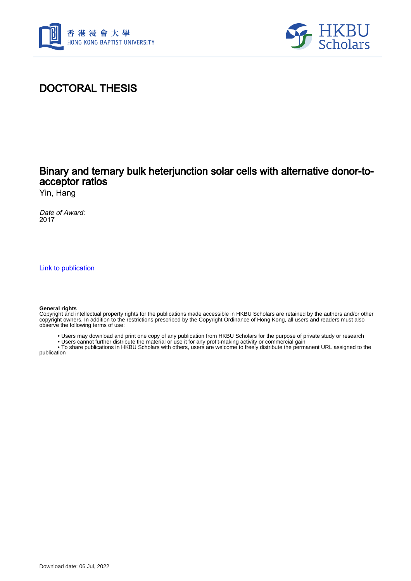



## DOCTORAL THESIS

## Binary and ternary bulk heterjunction solar cells with alternative donor-toacceptor ratios

Yin, Hang

Date of Award: 2017

[Link to publication](https://scholars.hkbu.edu.hk/en/studentTheses/03ad10d1-1c5e-49ec-acfd-6ce8e6524f56)

#### **General rights**

Copyright and intellectual property rights for the publications made accessible in HKBU Scholars are retained by the authors and/or other copyright owners. In addition to the restrictions prescribed by the Copyright Ordinance of Hong Kong, all users and readers must also observe the following terms of use:

- Users may download and print one copy of any publication from HKBU Scholars for the purpose of private study or research
- Users cannot further distribute the material or use it for any profit-making activity or commercial gain

 • To share publications in HKBU Scholars with others, users are welcome to freely distribute the permanent URL assigned to the publication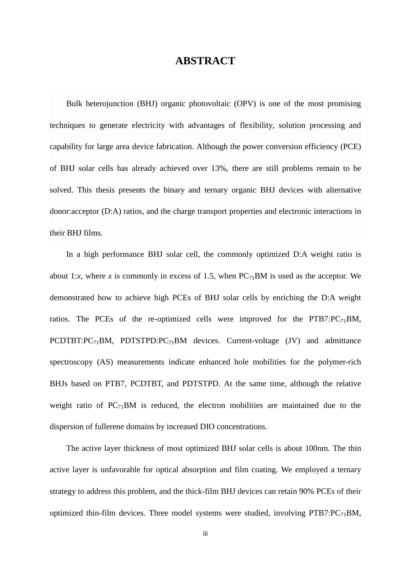### **ABSTRACT**

Bulk heterojunction (BHJ) organic photovoltaic (OPV) is one of the most promising techniques to generate electricity with advantages of flexibility, solution processing and capability for large area device fabrication. Although the power conversion efficiency (PCE) of BHJ solar cells has already achieved over 13%, there are still problems remain to be solved. This thesis presents the binary and ternary organic BHJ devices with alternative donor:acceptor (D:A) ratios, and the charge transport properties and electronic interactions in their BHJ films.

In a high performance BHJ solar cell, the commonly optimized D:A weight ratio is about 1:*x*, where *x* is commonly in excess of 1.5, when  $PC_{71}BM$  is used as the acceptor. We demonstrated how to achieve high PCEs of BHJ solar cells by enriching the D:A weight ratios. The PCEs of the re-optimized cells were improved for the PTB7: $PC_{71}BM$ , PCDTBT:PC $_{71}$ BM, PDTSTPD:PC $_{71}$ BM devices. Current-voltage (JV) and admittance spectroscopy (AS) measurements indicate enhanced hole mobilities for the polymer-rich BHJs based on PTB7, PCDTBT, and PDTSTPD. At the same time, although the relative weight ratio of  $PC_{71}BM$  is reduced, the electron mobilities are maintained due to the dispersion of fullerene domains by increased DIO concentrations.

The active layer thickness of most optimized BHJ solar cells is about 100nm. The thin active layer is unfavorable for optical absorption and film coating. We employed a ternary strategy to address this problem, and the thick-film BHJ devices can retain 90% PCEs of their optimized thin-film devices. Three model systems were studied, involving  $PTB7:PC_{71}BM$ ,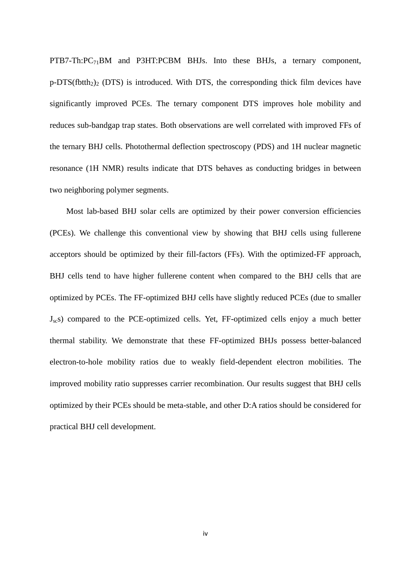PTB7-Th:PC<sub>71</sub>BM and P3HT:PCBM BHJs. Into these BHJs, a ternary component,  $p$ -DTS(fbtth<sub>2</sub>)<sub>2</sub> (DTS) is introduced. With DTS, the corresponding thick film devices have significantly improved PCEs. The ternary component DTS improves hole mobility and reduces sub-bandgap trap states. Both observations are well correlated with improved FFs of the ternary BHJ cells. Photothermal deflection spectroscopy (PDS) and 1H nuclear magnetic resonance (1H NMR) results indicate that DTS behaves as conducting bridges in between two neighboring polymer segments.

Most lab-based BHJ solar cells are optimized by their power conversion efficiencies (PCEs). We challenge this conventional view by showing that BHJ cells using fullerene acceptors should be optimized by their fill-factors (FFs). With the optimized-FF approach, BHJ cells tend to have higher fullerene content when compared to the BHJ cells that are optimized by PCEs. The FF-optimized BHJ cells have slightly reduced PCEs (due to smaller  $J_{\rm sc}$ s) compared to the PCE-optimized cells. Yet, FF-optimized cells enjoy a much better thermal stability. We demonstrate that these FF-optimized BHJs possess better-balanced electron-to-hole mobility ratios due to weakly field-dependent electron mobilities. The improved mobility ratio suppresses carrier recombination. Our results suggest that BHJ cells optimized by their PCEs should be meta-stable, and other D:A ratios should be considered for practical BHJ cell development.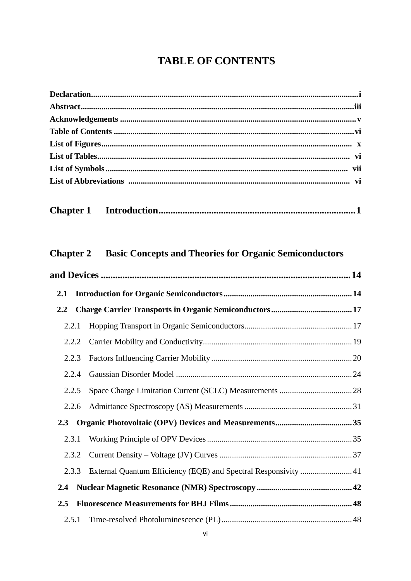# **TABLE OF CONTENTS**

| <b>Chapter 1</b> |                                                                 |  |
|------------------|-----------------------------------------------------------------|--|
| <b>Chapter 2</b> | <b>Basic Concepts and Theories for Organic Semiconductors</b>   |  |
|                  |                                                                 |  |
| 2.1              |                                                                 |  |
| 2.2              |                                                                 |  |
| 2.2.1            |                                                                 |  |
| 2.2.2            |                                                                 |  |
| 2.2.3            |                                                                 |  |
| 2.2.4            |                                                                 |  |
| 2.2.5            |                                                                 |  |
| 2.2.6            |                                                                 |  |
| 2.3              |                                                                 |  |
| 2.3.1            |                                                                 |  |
| 2.3.2            |                                                                 |  |
| 2.3.3            | External Quantum Efficiency (EQE) and Spectral Responsivity  41 |  |
| 2.4              |                                                                 |  |
| 2.5              |                                                                 |  |
| 2.5.1            |                                                                 |  |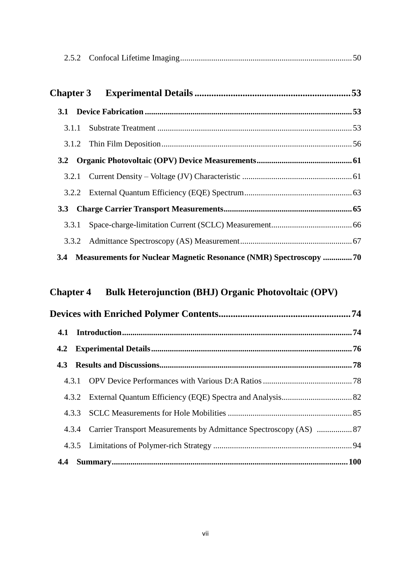| 3.3.1 |                                                                       |  |
|-------|-----------------------------------------------------------------------|--|
|       |                                                                       |  |
|       | 3.4 Measurements for Nuclear Magnetic Resonance (NMR) Spectroscopy 70 |  |

# **Chapter 4 Bulk Heterojunction (BHJ) Organic Photovoltaic (OPV)**

|  |  | 4.3.4 Carrier Transport Measurements by Admittance Spectroscopy (AS)  87 |  |
|--|--|--------------------------------------------------------------------------|--|
|  |  |                                                                          |  |
|  |  |                                                                          |  |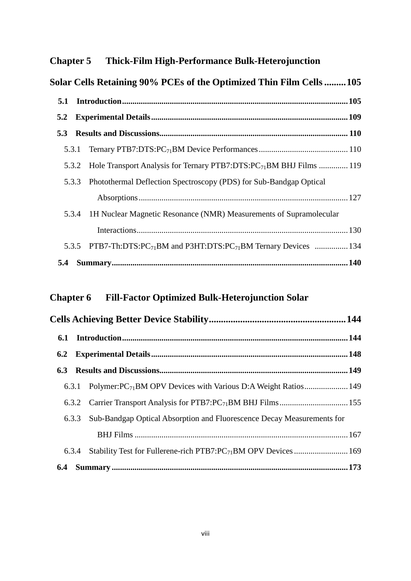## **Chapter 5 Thick-Film High-Performance Bulk-Heterojunction**

|     |       | Solar Cells Retaining 90% PCEs of the Optimized Thin Film Cells  105                       |  |
|-----|-------|--------------------------------------------------------------------------------------------|--|
| 5.1 |       |                                                                                            |  |
| 5.2 |       |                                                                                            |  |
| 5.3 |       |                                                                                            |  |
|     | 5.3.1 |                                                                                            |  |
|     |       | 5.3.2 Hole Transport Analysis for Ternary PTB7:DTS:PC <sub>71</sub> BM BHJ Films  119      |  |
|     |       | 5.3.3 Photothermal Deflection Spectroscopy (PDS) for Sub-Bandgap Optical                   |  |
|     |       |                                                                                            |  |
|     |       | 5.3.4 1H Nuclear Magnetic Resonance (NMR) Measurements of Supramolecular                   |  |
|     |       |                                                                                            |  |
|     |       | 5.3.5 PTB7-Th:DTS:PC <sub>71</sub> BM and P3HT:DTS:PC <sub>71</sub> BM Ternary Devices 134 |  |
| 5.4 |       |                                                                                            |  |

# **Chapter 6 Fill-Factor Optimized Bulk-Heterojunction Solar**

| 6.2 |       |                                                                              |  |
|-----|-------|------------------------------------------------------------------------------|--|
| 6.3 |       |                                                                              |  |
|     | 6.3.1 | Polymer: PC <sub>71</sub> BM OPV Devices with Various D:A Weight Ratios 149  |  |
|     |       |                                                                              |  |
|     |       | 6.3.3 Sub-Bandgap Optical Absorption and Fluorescence Decay Measurements for |  |
|     |       |                                                                              |  |
|     | 6.3.4 | Stability Test for Fullerene-rich PTB7:PC <sub>71</sub> BM OPV Devices  169  |  |
|     |       |                                                                              |  |